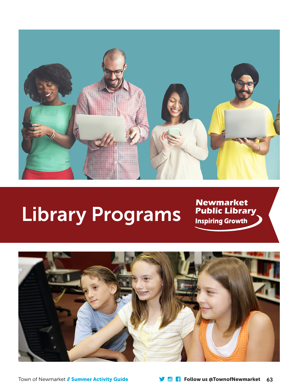

# Library Programs

**Newmarket<br>Public Library Inspiring Growth** 

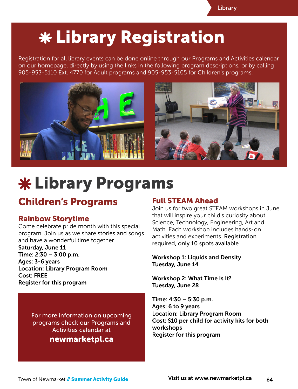# Library Registration

Registration for all library events can be done online through our Programs and Activities calendar on our homepage, directly by using the links in the following program descriptions, or by calling 905-953-5110 Ext. 4770 for Adult programs and 905-953-5105 for Children's programs.



# Library Programs

## Children's Programs

#### Rainbow Storytime

Come celebrate pride month with this special program. Join us as we share stories and songs and have a wonderful time together.

Saturday, June 11 Time: 2:30 – 3:00 p.m. Ages: 3-6 years Location: Library Program Room Cost: FREE Register for this program

> For more information on upcoming programs check our Programs and Activities calendar at newmarketpl.ca

#### Full STEAM Ahead

Join us for two great STEAM workshops in June that will inspire your child's curiosity about Science, Technology, Engineering, Art and Math. Each workshop includes hands-on activities and experiments. Registration required, only 10 spots available

Workshop 1: Liquids and Density Tuesday, June 14

Workshop 2: What Time Is It? Tuesday, June 28

Time: 4:30 – 5:30 p.m. Ages: 6 to 9 years Location: Library Program Room Cost: \$10 per child for activity kits for both workshops Register for this program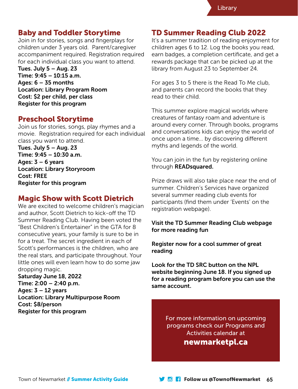#### Baby and Toddler Storytime

Join in for stories, songs and fingerplays for children under 3 years old. Parent/caregiver accompaniment required. Registration required for each individual class you want to attend.

Tues. July 5 – Aug. 23 Time: 9:45 – 10:15 a.m. Ages:  $6 - 35$  months Location: Library Program Room Cost: \$2 per child, per class Register for this program

#### Preschool Storytime

Join us for stories, songs, play rhymes and a movie. Registration required for each individual class you want to attend.

Tues. July  $5 -$  Aug. 23 Time: 9:45 – 10:30 a.m. Ages:  $3 - 6$  years Location: Library Storyroom Cost: FREE Register for this program

#### Magic Show with Scott Dietrich

We are excited to welcome children's magician and author, Scott Dietrich to kick-off the TD Summer Reading Club. Having been voted the "Best Children's Entertainer" in the GTA for 8 consecutive years, your family is sure to be in for a treat. The secret ingredient in each of Scott's performances is the children, who are the real stars, and participate throughout. Your little ones will even learn how to do some jaw dropping magic.

Saturday June 18, 2022 Time: 2:00 – 2:40 p.m. Ages: 3 – 12 years Location: Library Multipurpose Room Cost: \$8/person Register for this program

#### TD Summer Reading Club 2022

It's a summer tradition of reading enjoyment for children ages 6 to 12. Log the books you read, earn badges, a completion certificate, and get a rewards package that can be picked up at the library from August 23 to September 24.

For ages 3 to 5 there is the Read To Me club, and parents can record the books that they read to their child.

This summer explore magical worlds where creatures of fantasy roam and adventure is around every corner. Through books, programs and conversations kids can enjoy the world of once upon a time… by discovering different myths and legends of the world.

You can join in the fun by registering online through READsquared.

Prize draws will also take place near the end of summer. Children's Services have organized several summer reading club events for participants (find them under 'Events' on the registration webpage).

Visit the TD Summer Reading Club webpage for more reading fun

Register now for a cool summer of great reading

Look for the TD SRC button on the NPL website beginning June 18. If you signed up for a reading program before you can use the same account.

> For more information on upcoming programs check our Programs and Activities calendar at newmarketpl.ca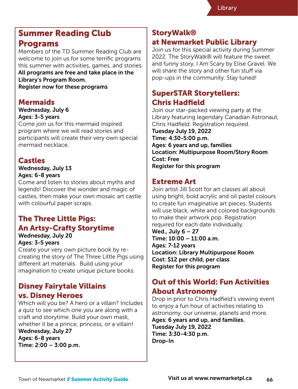## Summer Reading Club Programs

Members of the TD Summer Reading Club are welcome to join us for some terrific programs this summer with activities, games, and stories.

All programs are free and take place in the Library's Program Room. [Register now for these programs](https://calendar.newmarketpl.ca/default/Advanced?Keywords=Summer%20Reading%20Club%20Activities&StartDate=07/01/2022&EndDate=08/31/2022&Library%20Events=Kids)

#### **Mermaids**

Wednesday, July 6 Ages: 3-5 years

Come join us for this mermaid inspired program where we will read stories and participants will create their very own special mermaid necklace.

#### Castles

Wednesday, July 13 Ages: 6-8 years

Come and listen to stories about myths and legends! Discover the wonder and magic of castles, then make your own mosaic art castle with colourful paper scraps.

#### The Three Little Pigs: An Artsy-Crafty Storytime Wednesday, July 20

#### Ages: 3-5 years

Create your very own picture book by recreating the story of The Three Little Pigs using different art materials. Build using your imagination to create unique picture books.

## Disney Fairytale Villains vs. Disney Heroes

Which will you be? A hero or a villain? Includes a quiz to see which one you are along with a craft and storytime. Build your own mask, whether it be a prince, princess, or a villain! Wednesday, July 27

Ages: 6-8 years Time: 2:00 – 3:00 p.m.

### **StoryWalk®** at Newmarket Public Library

Join us for this special activity during Summer 2022. The StoryWalk® will feature the sweet and funny story, I Am Scary by Elise Gravel. We will share the story and other fun stuff via pop-ups in the community. Stay tuned!

## SuperSTAR Storytellers: Chris Hadfield

Join our star-packed viewing party at the Library featuring legendary Canadian Astronaut, Chris Hadfield. Registration required. Tuesday July 19, 2022 Time: 4:30-5:00 p.m. Ages: 6 years and up, families Location: Multipurpose Room/Story Room Cost: Free [Register for this program](https://calendar.newmarketpl.ca/default/Detail/2022-07-19-1630-SuperSTAR-Storytellers-Chris-Hadfield)

#### Extreme Art

Join artist Jill Scott for art classes all about using bright, bold acrylic and oil pastel colours to create fun imaginative art pieces. Students will use black, white and colored backgrounds to make their artwork pop. Registration required for each date individually. Wed., July 6 – 27 Time: 10:00 – 11:00 a.m. Ages: 7-12 years Location: Library Multipurpose Room Cost: \$12 per child, per class Register for this program

### Out of this World: Fun Activities About Astronomy

Drop in prior to Chris Hadfield's viewing event to enjoy a fun hour of activities relating to astronomy, our universe, planets and more. Ages: 6 years and up, and families. Tuesday July 19, 2022 Time: 3:30-4:30 p.m. Drop-In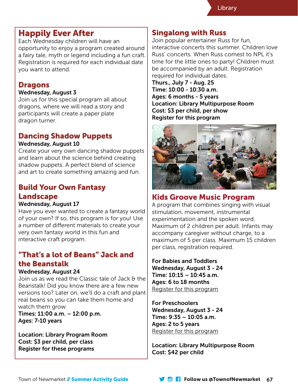### Happily Ever After

Each Wednesday children will have an opportunity to enjoy a program created around a fairy tale, myth or legend including a fun craft. Registration is required for each individual date you want to attend.

#### Dragons

#### Wednesday, August 3

Join us for this special program all about dragons, where we will read a story and participants will create a paper plate dragon turner.

## Dancing Shadow Puppets

Wednesday, August 10

Create your very own dancing shadow puppets and learn about the science behind creating shadow puppets. A perfect blend of science and art to create something amazing and fun.

#### Build Your Own Fantasy Landscape

#### Wednesday, August 17

Have you ever wanted to create a fantasy world of your own? If so, this program is for you! Use a number of different materials to create your very own fantasy world in this fun and interactive craft program.

#### "That's a lot of Beans" Jack and the Beanstalk

#### Wednesday, August 24

Join us as we read the Classic tale of Jack & the Beanstalk! Did you know there are a few new versions too? Later on, we'll do a craft and plant real beans so you can take them home and watch them grow.

Times: 11:00 a.m. – 12:00 p.m. Ages: 7-10 years

Location: Library Program Room Cost: \$3 per child, per class Register for these programs

#### Singalong with Russ

Join popular entertainer Russ for fun, interactive concerts this summer. Children love Russ' concerts. When Russ comest to NPL it's time for the little ones to party! Children must be accompanied by an adult. Registration required for individual dates.

Thurs., July 7 - Aug. 25 Time: 10:00 - 10:30 a.m. Ages: 6 months - 5 years Location: Library Multipurpose Room Cost: \$3 per child, per show Register for this program



### Kids Groove Music Program

A program that combines singing with visual stimulation, movement, instrumental experimentation and the spoken word. Maximum of 2 children per adult. Infants may accompany caregiver without charge, to a maximum of 5 per class. Maximum 15 children per class, registration required.

For Babies and Toddlers Wednesday, August 3 - 24 Time: 10:15 – 10:45 a.m. Ages: 6 to 18 months [Register for this program](https://calendar.newmarketpl.ca/default/Detail/2022-08-03-1015-Kids-Groove-Music-Program-for-Babies-and-Toddlers)

For Preschoolers Wednesday, August 3 - 24 Time: 9:35 – 10:05 a.m. Ages: 2 to 5 years [Register for this program](https://calendar.newmarketpl.ca/default/Detail/2022-08-03-0935-Kids-Groove-Music-Program-for-Preschoolers)

Location: Library Multipurpose Room Cost: \$42 per child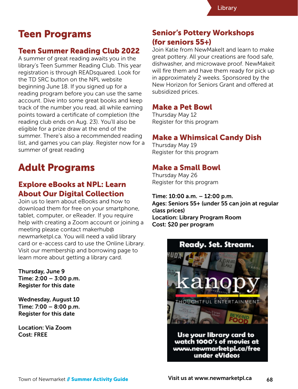## Teen Programs

#### Teen Summer Reading Club 2022

A summer of great reading awaits you in the library's Teen Summer Reading Club. This year registration is through READsquared. Look for the TD SRC button on the NPL website beginning June 18. If you signed up for a reading program before you can use the same account. Dive into some great books and keep track of the number you read, all while earning points toward a certificate of completion (the reading club ends on Aug. 23). You'll also be eligible for a prize draw at the end of the summer. There's also a recommended reading list, and games you can play. Register now for a summer of great reading

## Adult Programs

#### Explore eBooks at NPL: Learn About Our Digital Collection

Join us to learn about eBooks and how to download them for free on your smartphone, tablet, computer, or eReader. If you require help with creating a Zoom account or joining a meeting please contact makerhub@ newmarketpl.ca. You will need a valid library card or e-access card to use the Online Library. Visit our membership and borrowing page to learn more about getting a library card.

Thursday, June 9 Time: 2:00 – 3:00 p.m. Register for this date

Wednesday, August 10 Time: 7:00 – 8:00 p.m. Register for this date

Location: Via Zoom Cost: FREE

#### Senior's Pottery Workshops (for seniors 55+)

Join Katie from NewMakeIt and learn to make great pottery. All your creations are food safe, dishwasher, and microwave proof. NewMakeit will fire them and have them ready for pick up in approximately 2 weeks. Sponsored by the New Horizon for Seniors Grant and offered at subsidized prices.

#### Make a Pet Bowl

Thursday May 12 Register for this program

#### Make a Whimsical Candy Dish

Thursday May 19 Register for this program

#### Make a Small Bowl

Thursday May 26 Register for this program

Time: 10:00 a.m. – 12:00 p.m. Ages: Seniors 55+ (under 55 can join at regular class prices) Location: Library Program Room Cost: \$20 per program



www.newmarketpl.ca/free under eVideos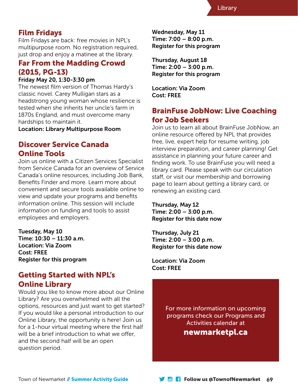#### Film Fridays

Film Fridays are back: free movies in NPL's multipurpose room. No registration required, just drop and enjoy a matinee at the library.

#### Far From the Madding Crowd (2015, PG-13)

#### Friday May 20, 1:30-3:30 pm

The newest film version of Thomas Hardy's classic novel. Carey Mulligan stars as a headstrong young woman whose resilience is tested when she inherits her uncle's farm in 1870s England, and must overcome many hardships to maintain it.

Location: Library Multipurpose Room

#### Discover Service Canada Online Tools

Join us online with a Citizen Services Specialist from Service Canada for an overview of Service Canada's online resources, including Job Bank, Benefits Finder and more. Learn more about convenient and secure tools available online to view and update your programs and benefits information online. This session will include information on funding and tools to assist employees and employers.

Tuesday, May 10 Time: 10:30 – 11:30 a.m. Location: Via Zoom Cost: FREE Register for this program

#### Getting Started with NPL's Online Library

Would you like to know more about our Online Library? Are you overwhelmed with all the options, resources and just want to get started? If you would like a personal introduction to our Online Library, the opportunity is here! Join us for a 1-hour virtual meeting where the first half will be a brief introduction to what we offer. and the second half will be an open question period.

Wednesday, May 11 Time: 7:00 – 8:00 p.m. Register for this program

Thursday, August 18 Time: 2:00 – 3:00 p.m. Register for this program

Location: Via Zoom Cost: FREE

#### BrainFuse JobNow: Live Coaching for Job Seekers

Join us to learn all about BrainFuse JobNow, an online resource offered by NPL that provides free, live, expert help for resume writing, job interview preparation, and career planning! Get assistance in planning your future career and finding work. To use BrainFuse you will need a library card. Please speak with our circulation staff, or visit our membership and borrowing page to learn about getting a library card, or renewing an existing card.

Thursday, May 12 Time: 2:00 – 3:00 p.m. Register for this date now

Thursday, July 21 Time: 2:00 – 3:00 p.m. Register for this date now

Location: Via Zoom Cost: FREE

> For more information on upcoming programs check our Programs and Activities calendar at newmarketpl.ca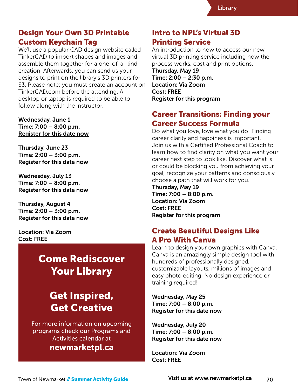#### Design Your Own 3D Printable Custom Keychain Tag

We'll use a popular CAD design website called TinkerCAD to import shapes and images and assemble them together for a one-of-a-kind creation. Afterwards, you can send us your designs to print on the library's 3D printers for \$3. Please note: you must create an account on TinkerCAD.com before the attending. A desktop or laptop is required to be able to follow along with the instructor.

Wednesday, June 1 Time: 7:00 – 8:00 p.m. [Register for this date now](https://calendar.newmarketpl.ca/default/Detail/2022-06-01-1900-Design-Your-Own-3D-Printable-Custom-Keychain-Tag)

Thursday, June 23 Time: 2:00 – 3:00 p.m. Register for this date now

Wednesday, July 13 Time: 7:00 – 8:00 p.m. Register for this date now

Thursday, August 4 Time: 2:00 – 3:00 p.m. Register for this date now

Location: Via Zoom Cost: FREE

# Come Rediscover Your Library

# Get Inspired, Get Creative

For more information on upcoming programs check our Programs and Activities calendar at

newmarketpl.ca

#### Intro to NPL's Virtual 3D Printing Service

An introduction to how to access our new virtual 3D printing service including how the process works, cost and print options.

Thursday, May 19 Time: 2:00 – 2:30 p.m. Location: Via Zoom Cost: FREE Register for this program

#### Career Transitions: Finding your Career Success Formula

Do what you love, love what you do! Finding career clarity and happiness is important. Join us with a Certified Professional Coach to learn how to find clarity on what you want your career next step to look like. Discover what is or could be blocking you from achieving your goal, recognize your patterns and consciously choose a path that will work for you.

Thursday, May 19 Time: 7:00 – 8:00 p.m. Location: Via Zoom Cost: FREE Register for this program

### Create Beautiful Designs Like A Pro With Canva

Learn to design your own graphics with Canva. Canva is an amazingly simple design tool with hundreds of professionally designed, customizable layouts, millions of images and easy photo editing. No design experience or training required!

Wednesday, May 25 Time: 7:00 – 8:00 p.m. Register for this date now

Wednesday, July 20 Time: 7:00 – 8:00 p.m. Register for this date now

Location: Via Zoom Cost: FREE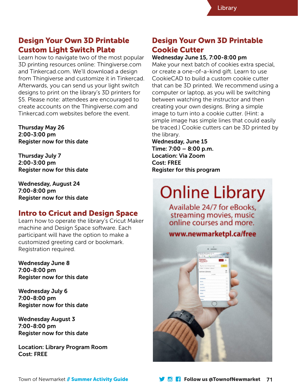#### Design Your Own 3D Printable Custom Light Switch Plate

Learn how to navigate two of the most popular 3D printing resources online: Thingiverse.com and Tinkercad.com. We'll download a design from Thingiverse and customize it in Tinkercad. Afterwards, you can send us your light switch designs to print on the library's 3D printers for \$5. Please note: attendees are encouraged to create accounts on the Thingiverse.com and Tinkercad.com websites before the event.

Thursday May 26 2:00-3:00 pm Register now for this date

Thursday July 7 2:00-3:00 pm Register now for this date

Wednesday, August 24 7:00-8:00 pm Register now for this date

#### Intro to Cricut and Design Space

Learn how to operate the library's Cricut Maker machine and Design Space software. Each participant will have the option to make a customized greeting card or bookmark. Registration required.

Wednesday June 8 7:00-8:00 pm Register now for this date

Wednesday July 6 7:00-8:00 pm Register now for this date

Wednesday August 3 7:00-8:00 pm Register now for this date

Location: Library Program Room Cost: FREE

#### Design Your Own 3D Printable Cookie Cutter

#### Wednesday June 15, 7:00-8:00 pm

Make your next batch of cookies extra special, or create a one-of-a-kind gift. Learn to use CookieCAD to build a custom cookie cutter that can be 3D printed. We recommend using a computer or laptop, as you will be switching between watching the instructor and then creating your own designs. Bring a simple image to turn into a cookie cutter. (Hint: a simple image has simple lines that could easily be traced.) Cookie cutters can be 3D printed by the library.

Wednesday, June 15 Time: 7:00 – 8:00 p.m. Location: Via Zoom Cost: FREE Register for this program

# **Online Library**

Available 24/7 for eBooks. streaming movies, music online courses and more.

#### www.newmarketpl.ca/free